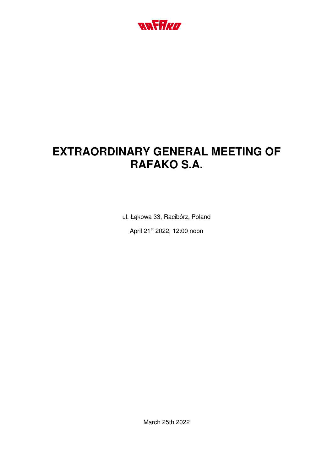

# **EXTRAORDINARY GENERAL MEETING OF RAFAKO S.A.**

ul. Łąkowa 33, Racibórz, Poland April 21st 2022, 12:00 noon

March 25th 2022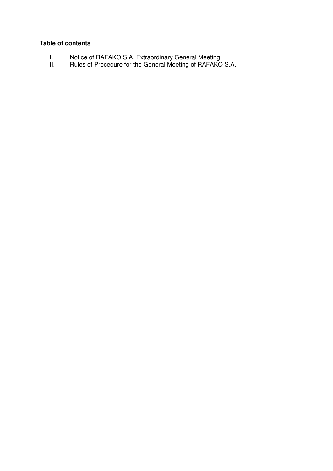# **Table of contents**

- I. Notice of RAFAKO S.A. Extraordinary General Meeting
- II. Rules of Procedure for the General Meeting of RAFAKO S.A.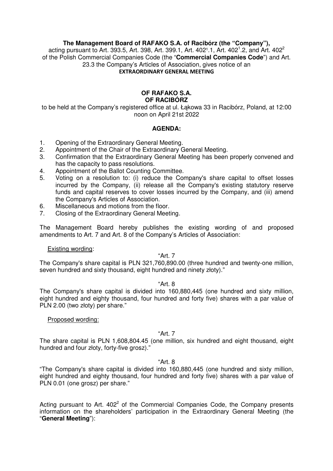# **The Management Board of RAFAKO S.A. of Racibórz (the "Company"),**

acting pursuant to Art. 393.5, Art. 398, Art. 399.1, Art. 402<sup>1</sup>.1, Art. 402<sup>1</sup>.2, and Art. 402<sup>2</sup> of the Polish Commercial Companies Code (the "**Commercial Companies Code**") and Art. 23.3 the Company's Articles of Association, gives notice of an **EXTRAORDINARY GENERAL MEETING**

## **OF RAFAKO S.A. OF RACIBÓRZ**

to be held at the Company's registered office at ul. Łąkowa 33 in Racibórz, Poland, at 12:00 noon on April 21st 2022

## **AGENDA:**

- 1. Opening of the Extraordinary General Meeting.
- 2. Appointment of the Chair of the Extraordinary General Meeting.
- 3. Confirmation that the Extraordinary General Meeting has been properly convened and has the capacity to pass resolutions.
- 4. Appointment of the Ballot Counting Committee.
- 5. Voting on a resolution to: (i) reduce the Company's share capital to offset losses incurred by the Company, (ii) release all the Company's existing statutory reserve funds and capital reserves to cover losses incurred by the Company, and (iii) amend the Company's Articles of Association.
- 6. Miscellaneous and motions from the floor.
- 7. Closing of the Extraordinary General Meeting.

The Management Board hereby publishes the existing wording of and proposed amendments to Art. 7 and Art. 8 of the Company's Articles of Association:

#### Existing wording:

## "Art. 7

The Company's share capital is PLN 321,760,890.00 (three hundred and twenty-one million, seven hundred and sixty thousand, eight hundred and ninety złoty)."

#### "Art. 8

The Company's share capital is divided into 160,880,445 (one hundred and sixty million, eight hundred and eighty thousand, four hundred and forty five) shares with a par value of PLN 2.00 (two złoty) per share."

#### Proposed wording:

# "Art. 7

The share capital is PLN 1,608,804.45 (one million, six hundred and eight thousand, eight hundred and four złoty, forty-five grosz)."

#### "Art. 8

"The Company's share capital is divided into 160,880,445 (one hundred and sixty million, eight hundred and eighty thousand, four hundred and forty five) shares with a par value of PLN 0.01 (one grosz) per share."

Acting pursuant to Art.  $402<sup>2</sup>$  of the Commercial Companies Code, the Company presents information on the shareholders' participation in the Extraordinary General Meeting (the "**General Meeting**"):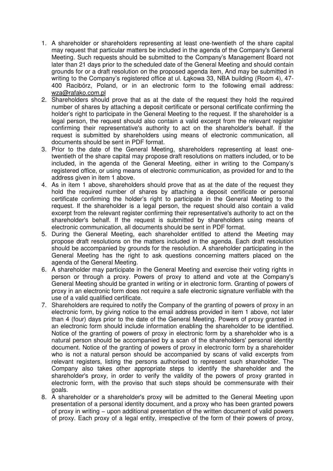- 1. A shareholder or shareholders representing at least one-twentieth of the share capital may request that particular matters be included in the agenda of the Company's General Meeting. Such requests should be submitted to the Company's Management Board not later than 21 days prior to the scheduled date of the General Meeting and should contain grounds for or a draft resolution on the proposed agenda item, And may be submitted in writing to the Company's registered office at ul. Łąkowa 33, NBA building (Room 4), 47- 400 Racibórz, Poland, or in an electronic form to the following email address: wza@rafako.com.pl
- 2. Shareholders should prove that as at the date of the request they hold the required number of shares by attaching a deposit certificate or personal certificate confirming the holder's right to participate in the General Meeting to the request. If the shareholder is a legal person, the request should also contain a valid excerpt from the relevant register confirming their representative's authority to act on the shareholder's behalf. If the request is submitted by shareholders using means of electronic communication, all documents should be sent in PDF format.
- 3. Prior to the date of the General Meeting, shareholders representing at least onetwentieth of the share capital may propose draft resolutions on matters included, or to be included, in the agenda of the General Meeting, either in writing to the Company's registered office, or using means of electronic communication, as provided for and to the address given in item 1 above.
- 4. As in item 1 above, shareholders should prove that as at the date of the request they hold the required number of shares by attaching a deposit certificate or personal certificate confirming the holder's right to participate in the General Meeting to the request. If the shareholder is a legal person, the request should also contain a valid excerpt from the relevant register confirming their representative's authority to act on the shareholder's behalf. If the request is submitted by shareholders using means of electronic communication, all documents should be sent in PDF format.
- 5. During the General Meeting, each shareholder entitled to attend the Meeting may propose draft resolutions on the matters included in the agenda. Each draft resolution should be accompanied by grounds for the resolution. A shareholder participating in the General Meeting has the right to ask questions concerning matters placed on the agenda of the General Meeting.
- 6. A shareholder may participate in the General Meeting and exercise their voting rights in person or through a proxy. Powers of proxy to attend and vote at the Company's General Meeting should be granted in writing or in electronic form. Granting of powers of proxy in an electronic form does not require a safe electronic signature verifiable with the use of a valid qualified certificate.
- 7. Shareholders are required to notify the Company of the granting of powers of proxy in an electronic form, by giving notice to the email address provided in item 1 above, not later than 4 (four) days prior to the date of the General Meeting. Powers of proxy granted in an electronic form should include information enabling the shareholder to be identified. Notice of the granting of powers of proxy in electronic form by a shareholder who is a natural person should be accompanied by a scan of the shareholders' personal identity document. Notice of the granting of powers of proxy in electronic form by a shareholder who is not a natural person should be accompanied by scans of valid excerpts from relevant registers, listing the persons authorised to represent such shareholder. The Company also takes other appropriate steps to identify the shareholder and the shareholder's proxy, in order to verify the validity of the powers of proxy granted in electronic form, with the proviso that such steps should be commensurate with their goals.
- 8. A shareholder or a shareholder's proxy will be admitted to the General Meeting upon presentation of a personal identity document, and a proxy who has been granted powers of proxy in writing − upon additional presentation of the written document of valid powers of proxy. Each proxy of a legal entity, irrespective of the form of their powers of proxy,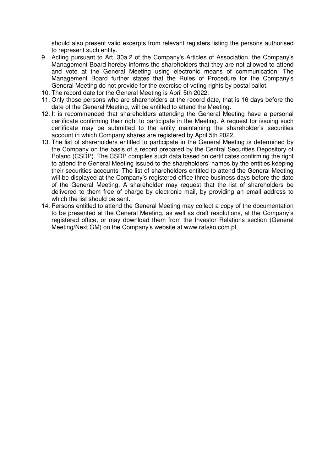should also present valid excerpts from relevant registers listing the persons authorised to represent such entity.

- 9. Acting pursuant to Art. 30a.2 of the Company's Articles of Association, the Company's Management Board hereby informs the shareholders that they are not allowed to attend and vote at the General Meeting using electronic means of communication. The Management Board further states that the Rules of Procedure for the Company's General Meeting do not provide for the exercise of voting rights by postal ballot.
- 10. The record date for the General Meeting is April 5th 2022.
- 11. Only those persons who are shareholders at the record date, that is 16 days before the date of the General Meeting, will be entitled to attend the Meeting.
- 12. It is recommended that shareholders attending the General Meeting have a personal certificate confirming their right to participate in the Meeting. A request for issuing such certificate may be submitted to the entity maintaining the shareholder's securities account in which Company shares are registered by April 5th 2022.
- 13. The list of shareholders entitled to participate in the General Meeting is determined by the Company on the basis of a record prepared by the Central Securities Depository of Poland (CSDP). The CSDP compiles such data based on certificates confirming the right to attend the General Meeting issued to the shareholders' names by the entities keeping their securities accounts. The list of shareholders entitled to attend the General Meeting will be displayed at the Company's registered office three business days before the date of the General Meeting. A shareholder may request that the list of shareholders be delivered to them free of charge by electronic mail, by providing an email address to which the list should be sent.
- 14. Persons entitled to attend the General Meeting may collect a copy of the documentation to be presented at the General Meeting, as well as draft resolutions, at the Company's registered office, or may download them from the Investor Relations section (General Meeting/Next GM) on the Company's website at www.rafako.com.pl.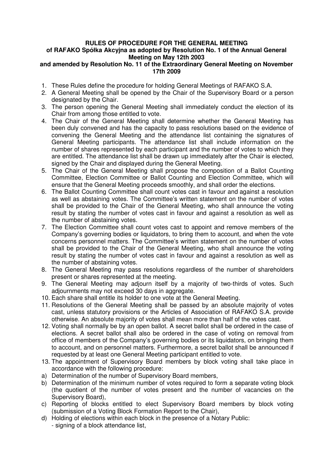# **RULES OF PROCEDURE FOR THE GENERAL MEETING of RAFAKO Spółka Akcyjna as adopted by Resolution No. 1 of the Annual General Meeting on May 12th 2003**

# **and amended by Resolution No. 11 of the Extraordinary General Meeting on November 17th 2009**

- 1. These Rules define the procedure for holding General Meetings of RAFAKO S.A.
- 2. A General Meeting shall be opened by the Chair of the Supervisory Board or a person designated by the Chair.
- 3. The person opening the General Meeting shall immediately conduct the election of its Chair from among those entitled to vote.
- 4. The Chair of the General Meeting shall determine whether the General Meeting has been duly convened and has the capacity to pass resolutions based on the evidence of convening the General Meeting and the attendance list containing the signatures of General Meeting participants. The attendance list shall include information on the number of shares represented by each participant and the number of votes to which they are entitled. The attendance list shall be drawn up immediately after the Chair is elected, signed by the Chair and displayed during the General Meeting.
- 5. The Chair of the General Meeting shall propose the composition of a Ballot Counting Committee, Election Committee or Ballot Counting and Election Committee, which will ensure that the General Meeting proceeds smoothly, and shall order the elections.
- 6. The Ballot Counting Committee shall count votes cast in favour and against a resolution as well as abstaining votes. The Committee's written statement on the number of votes shall be provided to the Chair of the General Meeting, who shall announce the voting result by stating the number of votes cast in favour and against a resolution as well as the number of abstaining votes.
- 7. The Election Committee shall count votes cast to appoint and remove members of the Company's governing bodies or liquidators, to bring them to account, and when the vote concerns personnel matters. The Committee's written statement on the number of votes shall be provided to the Chair of the General Meeting, who shall announce the voting result by stating the number of votes cast in favour and against a resolution as well as the number of abstaining votes.
- 8. The General Meeting may pass resolutions regardless of the number of shareholders present or shares represented at the meeting.
- 9. The General Meeting may adjourn itself by a majority of two-thirds of votes. Such adjournments may not exceed 30 days in aggregate.
- 10. Each share shall entitle its holder to one vote at the General Meeting.
- 11. Resolutions of the General Meeting shall be passed by an absolute majority of votes cast, unless statutory provisions or the Articles of Association of RAFAKO S.A. provide otherwise. An absolute majority of votes shall mean more than half of the votes cast.
- 12. Voting shall normally be by an open ballot. A secret ballot shall be ordered in the case of elections. A secret ballot shall also be ordered in the case of voting on removal from office of members of the Company's governing bodies or its liquidators, on bringing them to account, and on personnel matters. Furthermore, a secret ballot shall be announced if requested by at least one General Meeting participant entitled to vote.
- 13. The appointment of Supervisory Board members by block voting shall take place in accordance with the following procedure:
- a) Determination of the number of Supervisory Board members,
- b) Determination of the minimum number of votes required to form a separate voting block (the quotient of the number of votes present and the number of vacancies on the Supervisory Board),
- c) Reporting of blocks entitled to elect Supervisory Board members by block voting (submission of a Voting Block Formation Report to the Chair),
- d) Holding of elections within each block in the presence of a Notary Public: - signing of a block attendance list,